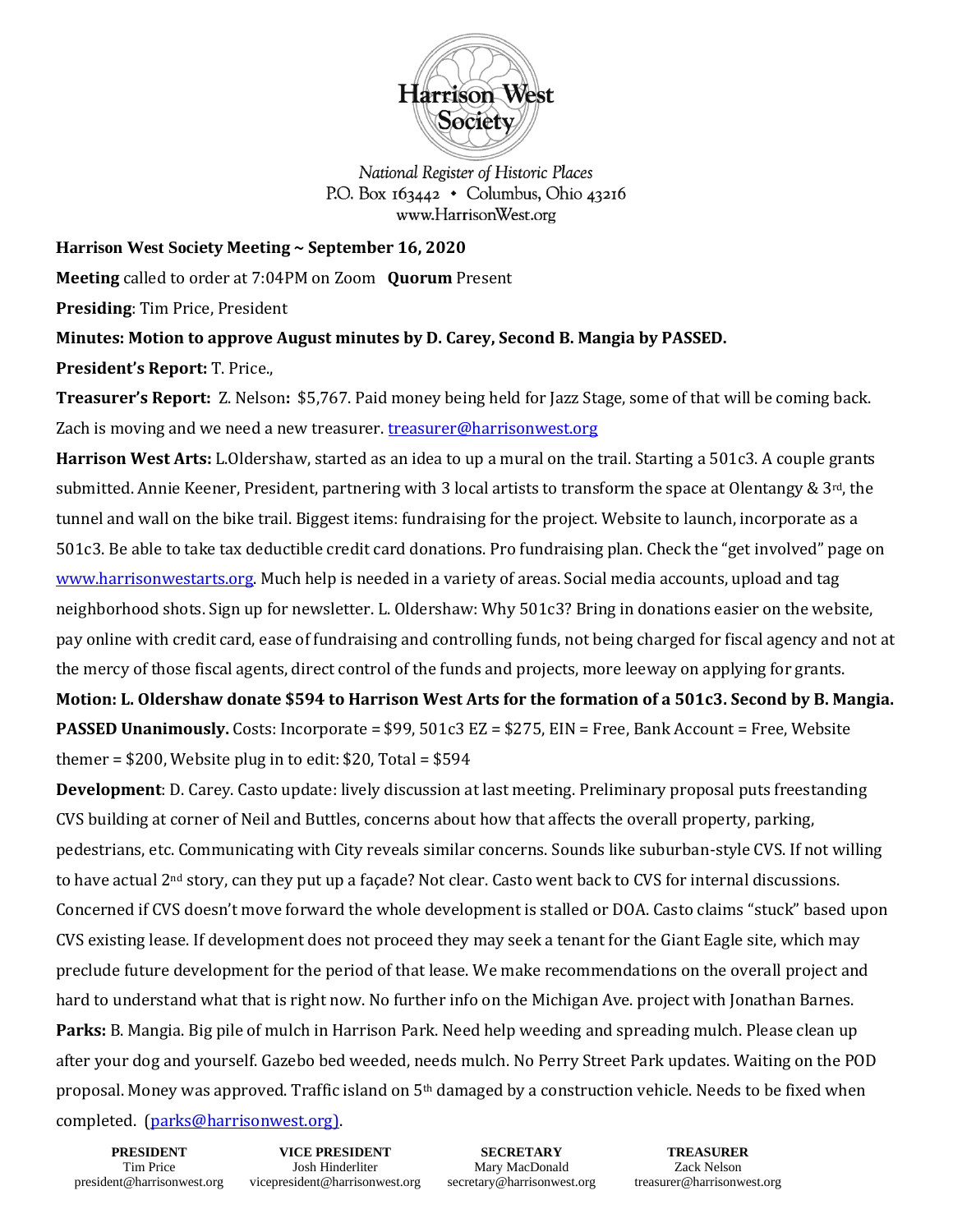

National Register of Historic Places P.O. Box  $163442 \cdot$  Columbus, Ohio 43216 www.HarrisonWest.org

**Harrison West Society Meeting ~ September 16, 2020**

**Meeting** called to order at 7:04PM on Zoom **Quorum** Present

**Presiding**: Tim Price, President

**Minutes: Motion to approve August minutes by D. Carey, Second B. Mangia by PASSED.** 

**President's Report:** T. Price.,

**Treasurer's Report:** Z. Nelson**:** \$5,767. Paid money being held for Jazz Stage, some of that will be coming back. Zach is moving and we need a new treasurer[. treasurer@harrisonwest.org](mailto:treasurer@harrisonwest.org)

**Harrison West Arts:** L.Oldershaw, started as an idea to up a mural on the trail. Starting a 501c3. A couple grants submitted. Annie Keener, President, partnering with 3 local artists to transform the space at Olentangy & 3rd, the tunnel and wall on the bike trail. Biggest items: fundraising for the project. Website to launch, incorporate as a 501c3. Be able to take tax deductible credit card donations. Pro fundraising plan. Check the "get involved" page on [www.harrisonwestarts.org.](http://www.harrisonwestarts.org/) Much help is needed in a variety of areas. Social media accounts, upload and tag neighborhood shots. Sign up for newsletter. L. Oldershaw: Why 501c3? Bring in donations easier on the website, pay online with credit card, ease of fundraising and controlling funds, not being charged for fiscal agency and not at the mercy of those fiscal agents, direct control of the funds and projects, more leeway on applying for grants.

**Motion: L. Oldershaw donate \$594 to Harrison West Arts for the formation of a 501c3. Second by B. Mangia. PASSED Unanimously.** Costs: Incorporate = \$99, 501c3 EZ = \$275, EIN = Free, Bank Account = Free, Website themer =  $$200$ , Website plug in to edit:  $$20$ , Total =  $$594$ 

**Development**: D. Carey. Casto update: lively discussion at last meeting. Preliminary proposal puts freestanding CVS building at corner of Neil and Buttles, concerns about how that affects the overall property, parking, pedestrians, etc. Communicating with City reveals similar concerns. Sounds like suburban-style CVS. If not willing to have actual 2nd story, can they put up a façade? Not clear. Casto went back to CVS for internal discussions. Concerned if CVS doesn't move forward the whole development is stalled or DOA. Casto claims "stuck" based upon CVS existing lease. If development does not proceed they may seek a tenant for the Giant Eagle site, which may preclude future development for the period of that lease. We make recommendations on the overall project and hard to understand what that is right now. No further info on the Michigan Ave. project with Jonathan Barnes. **Parks:** B. Mangia. Big pile of mulch in Harrison Park. Need help weeding and spreading mulch. Please clean up after your dog and yourself. Gazebo bed weeded, needs mulch. No Perry Street Park updates. Waiting on the POD proposal. Money was approved. Traffic island on 5th damaged by a construction vehicle. Needs to be fixed when completed. [\(parks@harrisonwest.org\)](mailto:parks@harrisonwest.org).

**PRESIDENT** Tim Price president@harrisonwest.org

**VICE PRESIDENT** Josh Hinderliter vicepresident@harrisonwest.org

**SECRETARY** Mary MacDonald secretary@harrisonwest.org

**TREASURER** Zack Nelson treasurer@harrisonwest.org